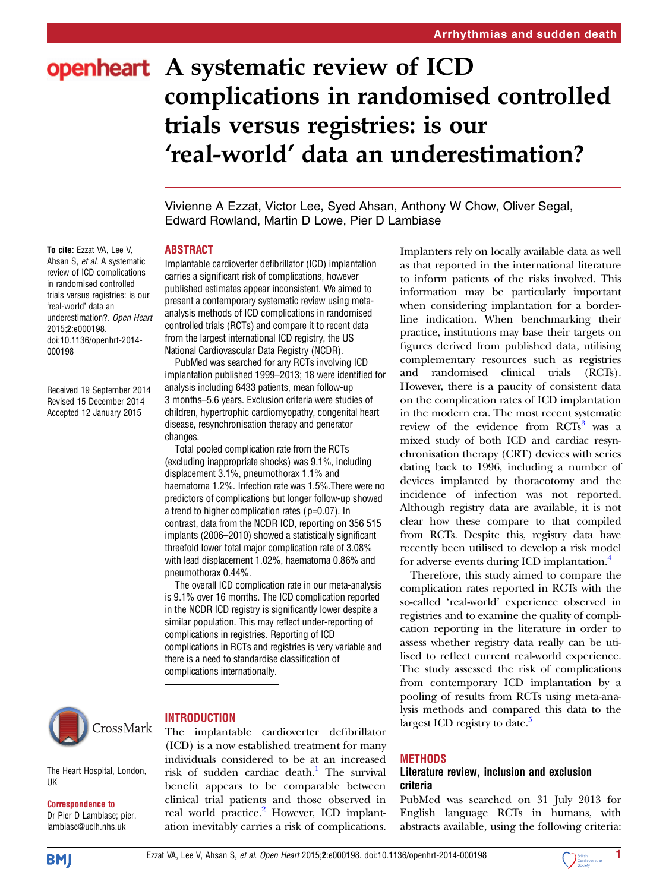# openheart A systematic review of ICD complications in randomised controlled trials versus registries: is our 'real-world' data an underestimation?

Vivienne A Ezzat, Victor Lee, Syed Ahsan, Anthony W Chow, Oliver Segal, Edward Rowland, Martin D Lowe, Pier D Lambiase

#### **ABSTRACT**

Implantable cardioverter defibrillator (ICD) implantation carries a significant risk of complications, however published estimates appear inconsistent. We aimed to present a contemporary systematic review using metaanalysis methods of ICD complications in randomised controlled trials (RCTs) and compare it to recent data from the largest international ICD registry, the US National Cardiovascular Data Registry (NCDR).

PubMed was searched for any RCTs involving ICD implantation published 1999–2013; 18 were identified for analysis including 6433 patients, mean follow-up 3 months–5.6 years. Exclusion criteria were studies of children, hypertrophic cardiomyopathy, congenital heart disease, resynchronisation therapy and generator changes.

Total pooled complication rate from the RCTs (excluding inappropriate shocks) was 9.1%, including displacement 3.1%, pneumothorax 1.1% and haematoma 1.2%. Infection rate was 1.5%.There were no predictors of complications but longer follow-up showed a trend to higher complication rates (p=0.07). In contrast, data from the NCDR ICD, reporting on 356 515 implants (2006–2010) showed a statistically significant threefold lower total major complication rate of 3.08% with lead displacement 1.02%, haematoma 0.86% and pneumothorax 0.44%.

The overall ICD complication rate in our meta-analysis is 9.1% over 16 months. The ICD complication reported in the NCDR ICD registry is significantly lower despite a similar population. This may reflect under-reporting of complications in registries. Reporting of ICD complications in RCTs and registries is very variable and there is a need to standardise classification of complications internationally.



The Heart Hospital, London,

#### **INTRODUCTION**

The implantable cardioverter defibrillator (ICD) is a now established treatment for many individuals considered to be at an increased risk of sudden cardiac death.<sup>1</sup> The survival benefit appears to be comparable between clinical trial patients and those observed in real world practice.<sup>2</sup> However, ICD implantation inevitably carries a risk of complications.

Implanters rely on locally available data as well as that reported in the international literature to inform patients of the risks involved. This information may be particularly important when considering implantation for a borderline indication. When benchmarking their practice, institutions may base their targets on figures derived from published data, utilising complementary resources such as registries and randomised clinical trials (RCTs). However, there is a paucity of consistent data on the complication rates of ICD implantation in the modern era. The most recent systematic review of the evidence from RCTs<sup>[3](#page-5-0)</sup> was a mixed study of both ICD and cardiac resynchronisation therapy (CRT) devices with series dating back to 1996, including a number of devices implanted by thoracotomy and the incidence of infection was not reported. Although registry data are available, it is not clear how these compare to that compiled from RCTs. Despite this, registry data have recently been utilised to develop a risk model for adverse events during ICD implantation.<sup>4</sup>

Therefore, this study aimed to compare the complication rates reported in RCTs with the so-called 'real-world' experience observed in registries and to examine the quality of complication reporting in the literature in order to assess whether registry data really can be utilised to reflect current real-world experience. The study assessed the risk of complications from contemporary ICD implantation by a pooling of results from RCTs using meta-analysis methods and compared this data to the largest ICD registry to date.<sup>5</sup>

#### METHODS

### Literature review, inclusion and exclusion criteria

PubMed was searched on 31 July 2013 for English language RCTs in humans, with abstracts available, using the following criteria:

To cite: Ezzat VA, Lee V, Ahsan S, et al. A systematic review of ICD complications in randomised controlled trials versus registries: is our 'real-world' data an underestimation?. Open Heart 2015;2:e000198. doi:10.1136/openhrt-2014- 000198

Received 19 September 2014 Revised 15 December 2014 Accepted 12 January 2015

**BMI** 

Correspondence to Dr Pier D Lambiase; pier. lambiase@uclh.nhs.uk

UK

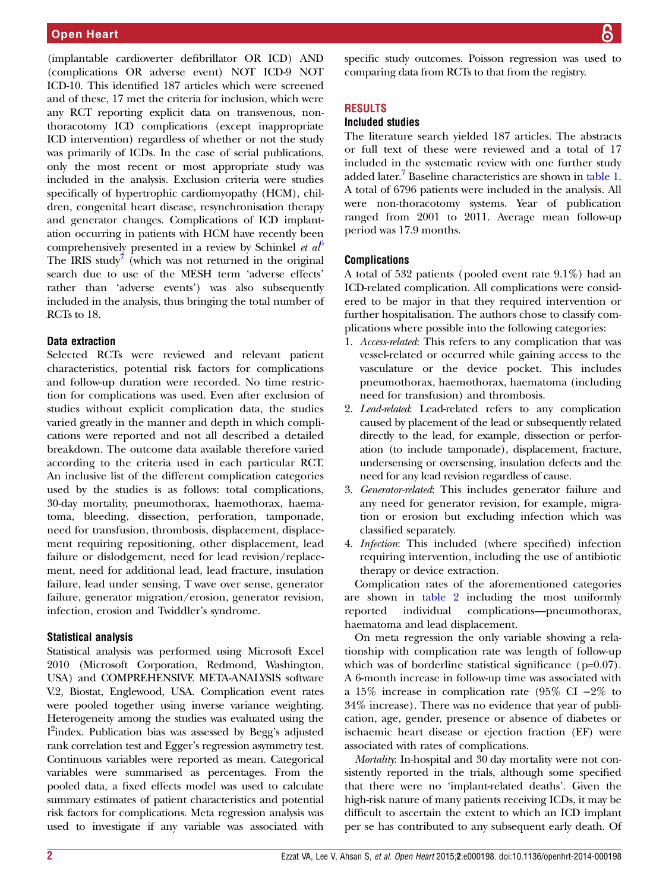(implantable cardioverter defibrillator OR ICD) AND (complications OR adverse event) NOT ICD-9 NOT ICD-10. This identified 187 articles which were screened and of these, 17 met the criteria for inclusion, which were any RCT reporting explicit data on transvenous, nonthoracotomy ICD complications (except inappropriate ICD intervention) regardless of whether or not the study was primarily of ICDs. In the case of serial publications, only the most recent or most appropriate study was included in the analysis. Exclusion criteria were studies specifically of hypertrophic cardiomyopathy (HCM), children, congenital heart disease, resynchronisation therapy and generator changes. Complications of ICD implantation occurring in patients with HCM have recently been comprehensively presented in a review by Schinkel et  $a\ell$ <sup>[6](#page-5-0)</sup> The IRIS study<sup>[7](#page-5-0)</sup> (which was not returned in the original search due to use of the MESH term 'adverse effects' rather than 'adverse events') was also subsequently included in the analysis, thus bringing the total number of RCTs to 18.

#### Data extraction

Selected RCTs were reviewed and relevant patient characteristics, potential risk factors for complications and follow-up duration were recorded. No time restriction for complications was used. Even after exclusion of studies without explicit complication data, the studies varied greatly in the manner and depth in which complications were reported and not all described a detailed breakdown. The outcome data available therefore varied according to the criteria used in each particular RCT. An inclusive list of the different complication categories used by the studies is as follows: total complications, 30-day mortality, pneumothorax, haemothorax, haematoma, bleeding, dissection, perforation, tamponade, need for transfusion, thrombosis, displacement, displacement requiring repositioning, other displacement, lead failure or dislodgement, need for lead revision/replacement, need for additional lead, lead fracture, insulation failure, lead under sensing, T wave over sense, generator failure, generator migration/erosion, generator revision, infection, erosion and Twiddler's syndrome.

#### Statistical analysis

Statistical analysis was performed using Microsoft Excel 2010 (Microsoft Corporation, Redmond, Washington, USA) and COMPREHENSIVE META-ANALYSIS software V.2, Biostat, Englewood, USA. Complication event rates were pooled together using inverse variance weighting. Heterogeneity among the studies was evaluated using the I<sup>2</sup>index. Publication bias was assessed by Begg's adjusted rank correlation test and Egger's regression asymmetry test. Continuous variables were reported as mean. Categorical variables were summarised as percentages. From the pooled data, a fixed effects model was used to calculate summary estimates of patient characteristics and potential risk factors for complications. Meta regression analysis was used to investigate if any variable was associated with

specific study outcomes. Poisson regression was used to comparing data from RCTs to that from the registry.

#### RESULTS

#### Included studies

The literature search yielded 187 articles. The abstracts or full text of these were reviewed and a total of 17 included in the systematic review with one further study added later.<sup>7</sup> Baseline characteristics are shown in [table 1.](#page-2-0) A total of 6796 patients were included in the analysis. All were non-thoracotomy systems. Year of publication ranged from 2001 to 2011. Average mean follow-up period was 17.9 months.

#### **Complications**

A total of 532 patients (pooled event rate 9.1%) had an ICD-related complication. All complications were considered to be major in that they required intervention or further hospitalisation. The authors chose to classify complications where possible into the following categories:

- 1. Access-related: This refers to any complication that was vessel-related or occurred while gaining access to the vasculature or the device pocket. This includes pneumothorax, haemothorax, haematoma (including need for transfusion) and thrombosis.
- 2. Lead-related: Lead-related refers to any complication caused by placement of the lead or subsequently related directly to the lead, for example, dissection or perforation (to include tamponade), displacement, fracture, undersensing or oversensing, insulation defects and the need for any lead revision regardless of cause.
- 3. Generator-related: This includes generator failure and any need for generator revision, for example, migration or erosion but excluding infection which was classified separately.
- 4. Infection: This included (where specified) infection requiring intervention, including the use of antibiotic therapy or device extraction.

Complication rates of the aforementioned categories are shown in [table 2](#page-3-0) including the most uniformly reported individual complications—pneumothorax, haematoma and lead displacement.

On meta regression the only variable showing a relationship with complication rate was length of follow-up which was of borderline statistical significance (p=0.07). A 6-month increase in follow-up time was associated with a 15% increase in complication rate (95% CI −2% to 34% increase). There was no evidence that year of publication, age, gender, presence or absence of diabetes or ischaemic heart disease or ejection fraction (EF) were associated with rates of complications.

Mortality: In-hospital and 30 day mortality were not consistently reported in the trials, although some specified that there were no 'implant-related deaths'. Given the high-risk nature of many patients receiving ICDs, it may be difficult to ascertain the extent to which an ICD implant per se has contributed to any subsequent early death. Of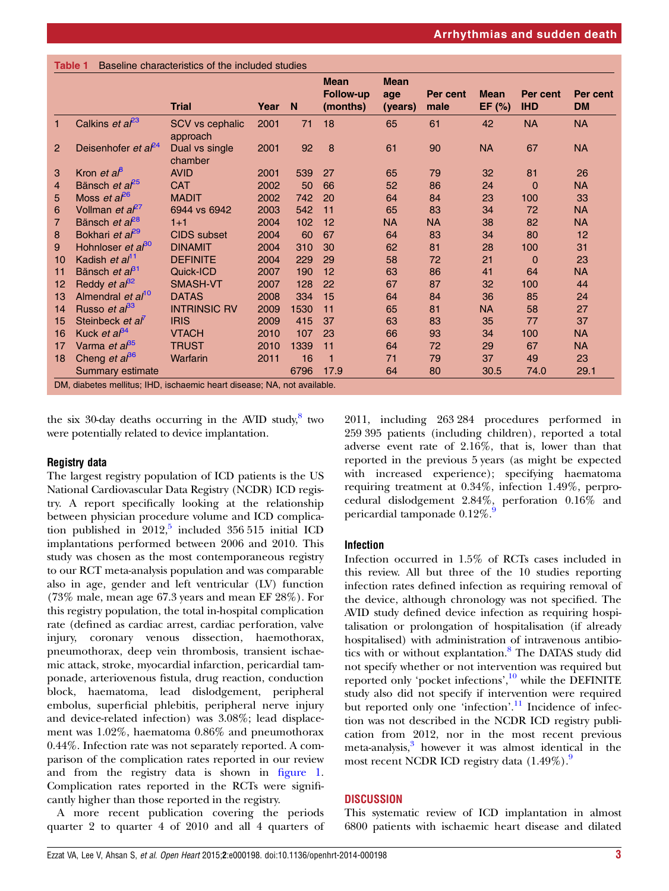<span id="page-2-0"></span>

|                |                                  | <b>Trial</b>                       | Year | N    | <b>Mean</b><br><b>Follow-up</b><br>(months) | <b>Mean</b><br>age<br>(years) | Per cent<br>male | <b>Mean</b><br>EF $(%)$ | Per cent<br><b>IHD</b> | Per cent<br><b>DM</b> |
|----------------|----------------------------------|------------------------------------|------|------|---------------------------------------------|-------------------------------|------------------|-------------------------|------------------------|-----------------------|
| $\mathbf{1}$   | Calkins et $a^{23}$              | <b>SCV vs cephalic</b><br>approach | 2001 | 71   | 18                                          | 65                            | 61               | 42                      | <b>NA</b>              | <b>NA</b>             |
| $\overline{2}$ | Deisenhofer et al <sup>24</sup>  | Dual vs single<br>chamber          | 2001 | 92   | 8                                           | 61                            | 90               | <b>NA</b>               | 67                     | <b>NA</b>             |
| 3              | Kron <i>et</i> $a^{\beta}$       | <b>AVID</b>                        | 2001 | 539  | 27                                          | 65                            | 79               | 32                      | 81                     | 26                    |
| 4              | Bänsch et a <sup>P5</sup>        | <b>CAT</b>                         | 2002 | 50   | 66                                          | 52                            | 86               | 24                      | $\Omega$               | <b>NA</b>             |
| 5              | Moss et $a^{26}$                 | <b>MADIT</b>                       | 2002 | 742  | 20                                          | 64                            | 84               | 23                      | 100                    | 33                    |
| 6              | Vollman <i>et</i> $a^{p}$        | 6944 vs 6942                       | 2003 | 542  | 11                                          | 65                            | 83               | 34                      | 72                     | <b>NA</b>             |
| $\overline{7}$ | Bänsch et $a^{28}$               | $1 + 1$                            | 2004 | 102  | 12                                          | <b>NA</b>                     | <b>NA</b>        | 38                      | 82                     | <b>NA</b>             |
| 8              | Bokhari et a <sup>p9</sup>       | <b>CIDS</b> subset                 | 2004 | 60   | 67                                          | 64                            | 83               | 34                      | 80                     | 12                    |
| 9              | Hohnloser et $a^{\beta 0}$       | <b>DINAMIT</b>                     | 2004 | 310  | 30                                          | 62                            | 81               | 28                      | 100                    | 31                    |
| 10             | Kadish et al <sup>11</sup>       | <b>DEFINITE</b>                    | 2004 | 229  | 29                                          | 58                            | 72               | 21                      | 0                      | 23                    |
| 11             | Bänsch et $a^{\beta 1}$          | Quick-ICD                          | 2007 | 190  | 12                                          | 63                            | 86               | 41                      | 64                     | <b>NA</b>             |
| 12             | Reddy <i>et</i> $a^{\beta 2}$    | SMASH-VT                           | 2007 | 128  | 22                                          | 67                            | 87               | 32                      | 100                    | 44                    |
| 13             | Almendral et al <sup>10</sup>    | <b>DATAS</b>                       | 2008 | 334  | 15                                          | 64                            | 84               | 36                      | 85                     | 24                    |
| 14             | Russo <i>et a</i> $^{83}$        | <b>INTRINSIC RV</b>                | 2009 | 1530 | 11                                          | 65                            | 81               | NA.                     | 58                     | 27                    |
| 15             | Steinbeck et al'                 | <b>IRIS</b>                        | 2009 | 415  | 37                                          | 63                            | 83               | 35                      | 77                     | 37                    |
| 16             | Kuck et $a^{\beta 4}$            | <b>VTACH</b>                       | 2010 | 107  | 23                                          | 66                            | 93               | 34                      | 100                    | <b>NA</b>             |
| 17             | Varma <i>et al</i> <sup>35</sup> | <b>TRUST</b>                       | 2010 | 1339 | 11                                          | 64                            | 72               | 29                      | 67                     | <b>NA</b>             |
| 18             | Cheng et $a^{86}$                | Warfarin                           | 2011 | 16   | 1                                           | 71                            | 79               | 37                      | 49                     | 23                    |
|                | Summary estimate                 |                                    |      | 6796 | 17.9                                        | 64                            | 80               | 30.5                    | 74.0                   | 29.1                  |

DM, diabetes mellitus; IHD, ischaemic heart disease; NA, not available.

the six 30-day deaths occurring in the AVID study, $8$  two were potentially related to device implantation.

#### Registry data

The largest registry population of ICD patients is the US National Cardiovascular Data Registry (NCDR) ICD registry. A report specifically looking at the relationship between physician procedure volume and ICD complication published in  $2012$ <sup>[5](#page-5-0)</sup> included 356 515 initial ICD implantations performed between 2006 and 2010. This study was chosen as the most contemporaneous registry to our RCT meta-analysis population and was comparable also in age, gender and left ventricular (LV) function (73% male, mean age 67.3 years and mean EF 28%). For this registry population, the total in-hospital complication rate (defined as cardiac arrest, cardiac perforation, valve injury, coronary venous dissection, haemothorax, pneumothorax, deep vein thrombosis, transient ischaemic attack, stroke, myocardial infarction, pericardial tamponade, arteriovenous fistula, drug reaction, conduction block, haematoma, lead dislodgement, peripheral embolus, superficial phlebitis, peripheral nerve injury and device-related infection) was 3.08%; lead displacement was 1.02%, haematoma 0.86% and pneumothorax 0.44%. Infection rate was not separately reported. A comparison of the complication rates reported in our review and from the registry data is shown in fi[gure 1.](#page-4-0) Complication rates reported in the RCTs were significantly higher than those reported in the registry.

A more recent publication covering the periods quarter 2 to quarter 4 of 2010 and all 4 quarters of

2011, including 263 284 procedures performed in 259 395 patients (including children), reported a total adverse event rate of 2.16%, that is, lower than that reported in the previous 5 years (as might be expected with increased experience); specifying haematoma requiring treatment at 0.34%, infection 1.49%, perprocedural dislodgement 2.84%, perforation 0.16% and pericardial tamponade  $0.12\%$ .

# Infection

Infection occurred in 1.5% of RCTs cases included in this review. All but three of the 10 studies reporting infection rates defined infection as requiring removal of the device, although chronology was not specified. The AVID study defined device infection as requiring hospitalisation or prolongation of hospitalisation (if already hospitalised) with administration of intravenous antibio-tics with or without explantation.<sup>[8](#page-5-0)</sup> The DATAS study did not specify whether or not intervention was required but reported only 'pocket infections',<sup>[10](#page-5-0)</sup> while the DEFINITE study also did not specify if intervention were required but reported only one 'infection'.<sup>[11](#page-5-0)</sup> Incidence of infection was not described in the NCDR ICD registry publication from 2012, nor in the most recent previous meta-analysis,<sup>[3](#page-5-0)</sup> however it was almost identical in the most recent NCDR ICD registry data  $(1.49\%)$  $(1.49\%)$  $(1.49\%)$ .

# DISCUSSION

This systematic review of ICD implantation in almost 6800 patients with ischaemic heart disease and dilated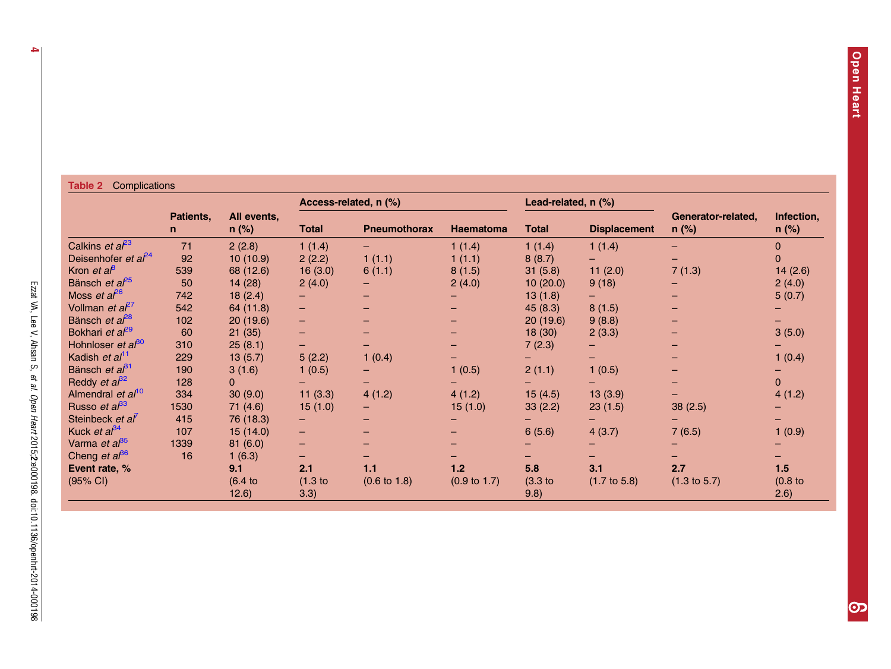#### <span id="page-3-0"></span>Table 2 Complications

|                                  |                | All events,<br>$n$ (%) |                    | Access-related, n (%)   |                         | Lead-related, n (%) |                         | Generator-related,<br>$n$ (%) | Infection,<br>$n$ (%) |
|----------------------------------|----------------|------------------------|--------------------|-------------------------|-------------------------|---------------------|-------------------------|-------------------------------|-----------------------|
|                                  | Patients,<br>n |                        | <b>Total</b>       | <b>Pneumothorax</b>     | <b>Haematoma</b>        | <b>Total</b>        | <b>Displacement</b>     |                               |                       |
| Calkins et $a^{23}$              | 71             | 2(2.8)                 | 1(1.4)             |                         | 1(1.4)                  | 1(1.4)              | 1(1.4)                  |                               | $\Omega$              |
| Deisenhofer et $a^{24}$          | 92             | 10(10.9)               | 2(2.2)             | 1(1.1)                  | 1(1.1)                  | 8(8.7)              |                         |                               | $\Omega$              |
| Kron <i>et</i> $a^{\beta}$       | 539            | 68 (12.6)              | 16(3.0)            | 6(1.1)                  | 8(1.5)                  | 31(5.8)             | 11(2.0)                 | 7(1.3)                        | 14(2.6)               |
| Bänsch et a <sup>p5</sup>        | 50             | 14(28)                 | 2(4.0)             |                         | 2(4.0)                  | 10(20.0)            | 9(18)                   |                               | 2(4.0)                |
| Moss et $a^{6}$                  | 742            | 18(2.4)                |                    |                         |                         | 13(1.8)             | -                       |                               | 5(0.7)                |
| Vollman et a <sup>27</sup>       | 542            | 64 (11.8)              | н.                 |                         |                         | 45(8.3)             | 8(1.5)                  |                               |                       |
| Bänsch et a <sup><i>P</i>8</sup> | 102            | 20(19.6)               | н.                 |                         |                         | 20(19.6)            | 9(8.8)                  |                               |                       |
| Bokhari et a <sup>p9</sup>       | 60             | 21(35)                 | н.                 |                         |                         | 18(30)              | 2(3.3)                  |                               | 3(5.0)                |
| Hohnloser et $a^{30}$            | 310            | 25(8.1)                | -                  |                         |                         | 7(2.3)              |                         |                               |                       |
| Kadish et al <sup>11</sup>       | 229            | 13(5.7)                | 5(2.2)             | 1(0.4)                  |                         |                     |                         |                               | 1(0.4)                |
| Bänsch et $a^{\beta 1}$          | 190            | 3(1.6)                 | 1(0.5)             |                         | 1(0.5)                  | 2(1.1)              | 1(0.5)                  |                               |                       |
| Reddy <i>et</i> $a^{32}$         | 128            | 0                      |                    |                         |                         |                     |                         |                               | $\overline{0}$        |
| Almendral et al <sup>10</sup>    | 334            | 30(9.0)                | 11(3.3)            | 4(1.2)                  | 4(1.2)                  | 15(4.5)             | 13(3.9)                 |                               | 4(1.2)                |
| Russo et $a^{\beta 3}$           | 1530           | 71(4.6)                | 15(1.0)            |                         | 15(1.0)                 | 33(2.2)             | 23(1.5)                 | 38(2.5)                       |                       |
| Steinbeck et al                  | 415            | 76 (18.3)              | $-$                |                         |                         |                     |                         |                               |                       |
| Kuck et $a^{\beta 4}$            | 107            | 15(14.0)               | $\qquad \qquad -$  |                         |                         | 6(5.6)              | 4(3.7)                  | 7(6.5)                        | 1(0.9)                |
| Varma et a <sup>85</sup>         | 1339           | 81(6.0)                | -                  |                         |                         |                     |                         |                               |                       |
| Cheng et $a^{\beta 6}$           | 16             | 1(6.3)                 | -                  |                         |                         |                     |                         |                               |                       |
| Event rate, %                    |                | 9.1                    | 2.1                | 1.1                     | 1.2                     | 5.8                 | 3.1                     | 2.7                           | 1.5                   |
| $(95% \text{ Cl})$               |                | $(6.4)$ to<br>12.6)    | $(1.3)$ to<br>3.3) | $(0.6 \text{ to } 1.8)$ | $(0.9 \text{ to } 1.7)$ | $(3.3)$ to<br>9.8)  | $(1.7 \text{ to } 5.8)$ | $(1.3 \text{ to } 5.7)$       | $(0.8)$ to<br>2.6)    |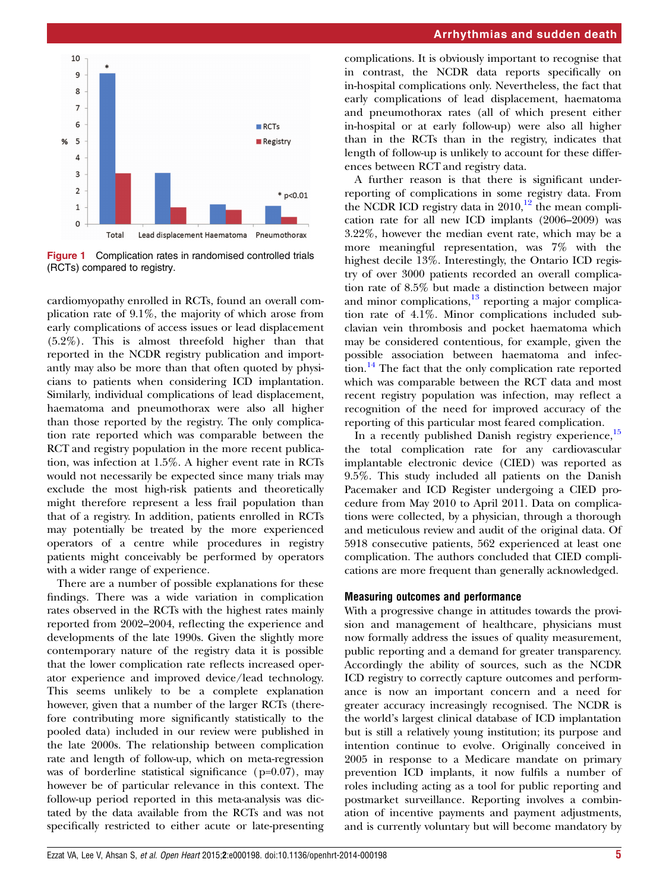<span id="page-4-0"></span>

Figure 1 Complication rates in randomised controlled trials (RCTs) compared to registry.

cardiomyopathy enrolled in RCTs, found an overall complication rate of 9.1%, the majority of which arose from early complications of access issues or lead displacement (5.2%). This is almost threefold higher than that reported in the NCDR registry publication and importantly may also be more than that often quoted by physicians to patients when considering ICD implantation. Similarly, individual complications of lead displacement, haematoma and pneumothorax were also all higher than those reported by the registry. The only complication rate reported which was comparable between the RCT and registry population in the more recent publication, was infection at 1.5%. A higher event rate in RCTs would not necessarily be expected since many trials may exclude the most high-risk patients and theoretically might therefore represent a less frail population than that of a registry. In addition, patients enrolled in RCTs may potentially be treated by the more experienced operators of a centre while procedures in registry patients might conceivably be performed by operators with a wider range of experience.

There are a number of possible explanations for these findings. There was a wide variation in complication rates observed in the RCTs with the highest rates mainly reported from 2002–2004, reflecting the experience and developments of the late 1990s. Given the slightly more contemporary nature of the registry data it is possible that the lower complication rate reflects increased operator experience and improved device/lead technology. This seems unlikely to be a complete explanation however, given that a number of the larger RCTs (therefore contributing more significantly statistically to the pooled data) included in our review were published in the late 2000s. The relationship between complication rate and length of follow-up, which on meta-regression was of borderline statistical significance ( $p=0.07$ ), may however be of particular relevance in this context. The follow-up period reported in this meta-analysis was dictated by the data available from the RCTs and was not specifically restricted to either acute or late-presenting

complications. It is obviously important to recognise that in contrast, the NCDR data reports specifically on in-hospital complications only. Nevertheless, the fact that early complications of lead displacement, haematoma and pneumothorax rates (all of which present either in-hospital or at early follow-up) were also all higher than in the RCTs than in the registry, indicates that length of follow-up is unlikely to account for these differences between RCT and registry data.

A further reason is that there is significant underreporting of complications in some registry data. From the NCDR ICD registry data in  $2010<sup>12</sup>$ , the mean complication rate for all new ICD implants (2006–2009) was 3.22%, however the median event rate, which may be a more meaningful representation, was 7% with the highest decile 13%. Interestingly, the Ontario ICD registry of over 3000 patients recorded an overall complication rate of 8.5% but made a distinction between major and minor complications, $13$  reporting a major complication rate of 4.1%. Minor complications included subclavian vein thrombosis and pocket haematoma which may be considered contentious, for example, given the possible association between haematoma and infec-tion.<sup>[14](#page-6-0)</sup> The fact that the only complication rate reported which was comparable between the RCT data and most recent registry population was infection, may reflect a recognition of the need for improved accuracy of the reporting of this particular most feared complication.

In a recently published Danish registry experience,<sup>[15](#page-6-0)</sup> the total complication rate for any cardiovascular implantable electronic device (CIED) was reported as 9.5%. This study included all patients on the Danish Pacemaker and ICD Register undergoing a CIED procedure from May 2010 to April 2011. Data on complications were collected, by a physician, through a thorough and meticulous review and audit of the original data. Of 5918 consecutive patients, 562 experienced at least one complication. The authors concluded that CIED complications are more frequent than generally acknowledged.

#### Measuring outcomes and performance

With a progressive change in attitudes towards the provision and management of healthcare, physicians must now formally address the issues of quality measurement, public reporting and a demand for greater transparency. Accordingly the ability of sources, such as the NCDR ICD registry to correctly capture outcomes and performance is now an important concern and a need for greater accuracy increasingly recognised. The NCDR is the world's largest clinical database of ICD implantation but is still a relatively young institution; its purpose and intention continue to evolve. Originally conceived in 2005 in response to a Medicare mandate on primary prevention ICD implants, it now fulfils a number of roles including acting as a tool for public reporting and postmarket surveillance. Reporting involves a combination of incentive payments and payment adjustments, and is currently voluntary but will become mandatory by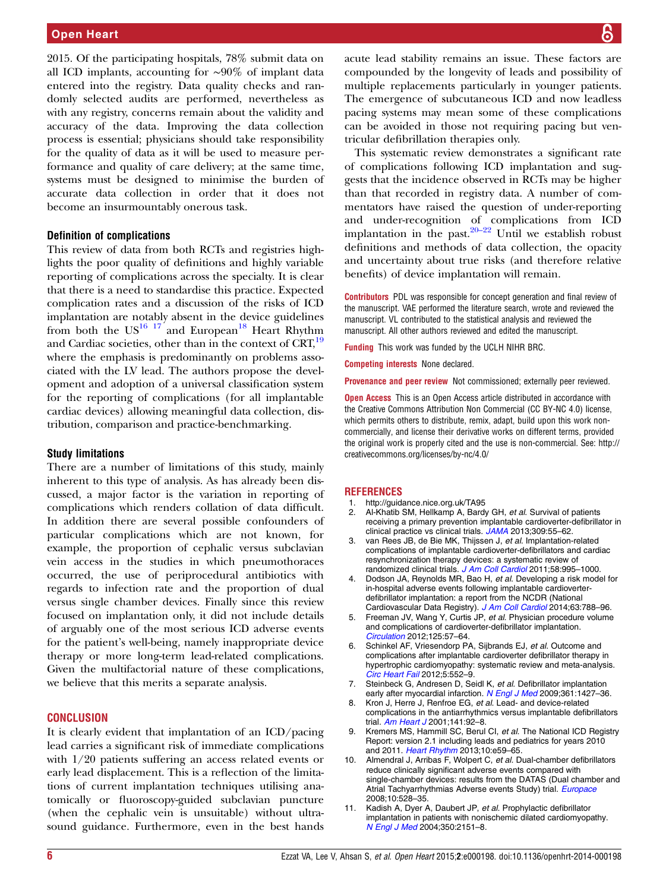<span id="page-5-0"></span>2015. Of the participating hospitals, 78% submit data on all ICD implants, accounting for ∼90% of implant data entered into the registry. Data quality checks and randomly selected audits are performed, nevertheless as with any registry, concerns remain about the validity and accuracy of the data. Improving the data collection process is essential; physicians should take responsibility for the quality of data as it will be used to measure performance and quality of care delivery; at the same time, systems must be designed to minimise the burden of accurate data collection in order that it does not become an insurmountably onerous task.

#### Definition of complications

This review of data from both RCTs and registries highlights the poor quality of definitions and highly variable reporting of complications across the specialty. It is clear that there is a need to standardise this practice. Expected complication rates and a discussion of the risks of ICD implantation are notably absent in the device guidelines from both the  $US^{16}$  17<sup>'</sup> and European<sup>[18](#page-6-0)</sup> Heart Rhythm and Cardiac societies, other than in the context of CRT,<sup>[19](#page-6-0)</sup> where the emphasis is predominantly on problems associated with the LV lead. The authors propose the development and adoption of a universal classification system for the reporting of complications (for all implantable cardiac devices) allowing meaningful data collection, distribution, comparison and practice-benchmarking.

#### Study limitations

There are a number of limitations of this study, mainly inherent to this type of analysis. As has already been discussed, a major factor is the variation in reporting of complications which renders collation of data difficult. In addition there are several possible confounders of particular complications which are not known, for example, the proportion of cephalic versus subclavian vein access in the studies in which pneumothoraces occurred, the use of periprocedural antibiotics with regards to infection rate and the proportion of dual versus single chamber devices. Finally since this review focused on implantation only, it did not include details of arguably one of the most serious ICD adverse events for the patient's well-being, namely inappropriate device therapy or more long-term lead-related complications. Given the multifactorial nature of these complications, we believe that this merits a separate analysis.

#### **CONCLUSION**

It is clearly evident that implantation of an ICD/pacing lead carries a significant risk of immediate complications with 1/20 patients suffering an access related events or early lead displacement. This is a reflection of the limitations of current implantation techniques utilising anatomically or fluoroscopy-guided subclavian puncture (when the cephalic vein is unsuitable) without ultrasound guidance. Furthermore, even in the best hands acute lead stability remains an issue. These factors are compounded by the longevity of leads and possibility of multiple replacements particularly in younger patients. The emergence of subcutaneous ICD and now leadless pacing systems may mean some of these complications can be avoided in those not requiring pacing but ventricular defibrillation therapies only.

This systematic review demonstrates a significant rate of complications following ICD implantation and suggests that the incidence observed in RCTs may be higher than that recorded in registry data. A number of commentators have raised the question of under-reporting and under-recognition of complications from ICD implantation in the past.<sup>[20](#page-6-0)–22</sup> Until we establish robust definitions and methods of data collection, the opacity and uncertainty about true risks (and therefore relative benefits) of device implantation will remain.

Contributors PDL was responsible for concept generation and final review of the manuscript. VAE performed the literature search, wrote and reviewed the manuscript. VL contributed to the statistical analysis and reviewed the manuscript. All other authors reviewed and edited the manuscript.

Funding This work was funded by the UCLH NIHR BRC.

Competing interests None declared.

Provenance and peer review Not commissioned; externally peer reviewed.

**Open Access** This is an Open Access article distributed in accordance with the Creative Commons Attribution Non Commercial (CC BY-NC 4.0) license, which permits others to distribute, remix, adapt, build upon this work noncommercially, and license their derivative works on different terms, provided the original work is properly cited and the use is non-commercial. See: [http://](http://creativecommons.org/licenses/by-nc/4.0/) [creativecommons.org/licenses/by-nc/4.0/](http://creativecommons.org/licenses/by-nc/4.0/)

#### REFERENCES

- 1.<http://guidance.nice.org.uk/TA95>
- 2. Al-Khatib SM, Hellkamp A, Bardy GH, et al. Survival of patients receiving a primary prevention implantable cardioverter-defibrillator in clinical practice vs clinical trials. [JAMA](http://dx.doi.org/10.1001/jama.2012.157182) 2013;309:55–62.
- 3. van Rees JB, de Bie MK, Thijssen J, et al. Implantation-related complications of implantable cardioverter-defibrillators and cardiac resynchronization therapy devices: a systematic review of randomized clinical trials. [J Am Coll Cardiol](http://dx.doi.org/10.1016/j.jacc.2011.06.007) 2011;58:995-1000.
- Dodson JA, Reynolds MR, Bao H, et al. Developing a risk model for in-hospital adverse events following implantable cardioverterdefibrillator implantation: a report from the NCDR (National Cardiovascular Data Registry). [J Am Coll Cardiol](http://dx.doi.org/10.1016/j.jacc.2013.09.079) 2014;63:788-96.
- 5. Freeman JV, Wang Y, Curtis JP, et al. Physician procedure volume and complications of cardioverter-defibrillator implantation. [Circulation](http://dx.doi.org/10.1161/CIRCULATIONAHA.111.046995) 2012;125:57–64.
- 6. Schinkel AF, Vriesendorp PA, Sijbrands EJ, et al. Outcome and complications after implantable cardioverter defibrillator therapy in hypertrophic cardiomyopathy: systematic review and meta-analysis. [Circ Heart Fail](http://dx.doi.org/10.1161/CIRCHEARTFAILURE.112.969626) 2012;5:552–9.
- 7. Steinbeck G, Andresen D, Seidl K, et al. Defibrillator implantation early after myocardial infarction. [N Engl J Med](http://dx.doi.org/10.1056/NEJMoa0901889) 2009;361:1427-36.
- 8. Kron J, Herre J, Renfroe EG, et al. Lead- and device-related complications in the antiarrhythmics versus implantable defibrillators trial. [Am Heart J](http://dx.doi.org/10.1067/mhj.2001.111261) 2001;141:92–8.
- 9. Kremers MS, Hammill SC, Berul CI, et al. The National ICD Registry Report: version 2.1 including leads and pediatrics for years 2010 and 2011. [Heart Rhythm](http://dx.doi.org/10.1016/j.hrthm.2013.01.035) 2013;10:e59-65.
- 10. Almendral J, Arribas F, Wolpert C, et al. Dual-chamber defibrillators reduce clinically significant adverse events compared with single-chamber devices: results from the DATAS (Dual chamber and Atrial Tachyarrhythmias Adverse events Study) trial. [Europace](http://dx.doi.org/10.1093/europace/eun072) 2008;10:528–35.
- 11. Kadish A, Dyer A, Daubert JP, et al. Prophylactic defibrillator implantation in patients with nonischemic dilated cardiomyopathy. [N Engl J Med](http://dx.doi.org/10.1056/NEJMoa033088) 2004;350:2151–8.